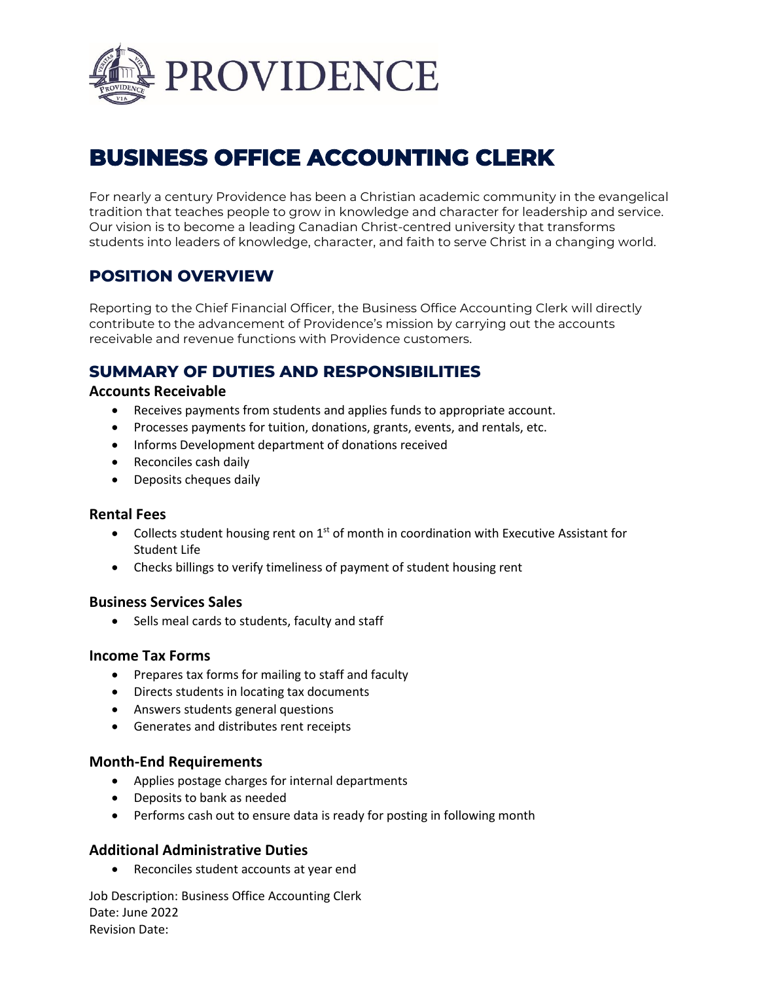

# **BUSINESS OFFICE ACCOUNTING CLERK**

For nearly a century Providence has been a Christian academic community in the evangelical tradition that teaches people to grow in knowledge and character for leadership and service. Our vision is to become a leading Canadian Christ-centred university that transforms students into leaders of knowledge, character, and faith to serve Christ in a changing world.

# **POSITION OVERVIEW**

Reporting to the Chief Financial Officer, the Business Office Accounting Clerk will directly contribute to the advancement of Providence's mission by carrying out the accounts receivable and revenue functions with Providence customers.

# **SUMMARY OF DUTIES AND RESPONSIBILITIES**

#### **Accounts Receivable**

- Receives payments from students and applies funds to appropriate account.
- Processes payments for tuition, donations, grants, events, and rentals, etc.
- Informs Development department of donations received
- Reconciles cash daily
- Deposits cheques daily

#### **Rental Fees**

- Collects student housing rent on  $1<sup>st</sup>$  of month in coordination with Executive Assistant for Student Life
- Checks billings to verify timeliness of payment of student housing rent

## **Business Services Sales**

• Sells meal cards to students, faculty and staff

#### **Income Tax Forms**

- Prepares tax forms for mailing to staff and faculty
- Directs students in locating tax documents
- Answers students general questions
- Generates and distributes rent receipts

## **Month-End Requirements**

- Applies postage charges for internal departments
- Deposits to bank as needed
- Performs cash out to ensure data is ready for posting in following month

## **Additional Administrative Duties**

• Reconciles student accounts at year end

Job Description: Business Office Accounting Clerk Date: June 2022 Revision Date: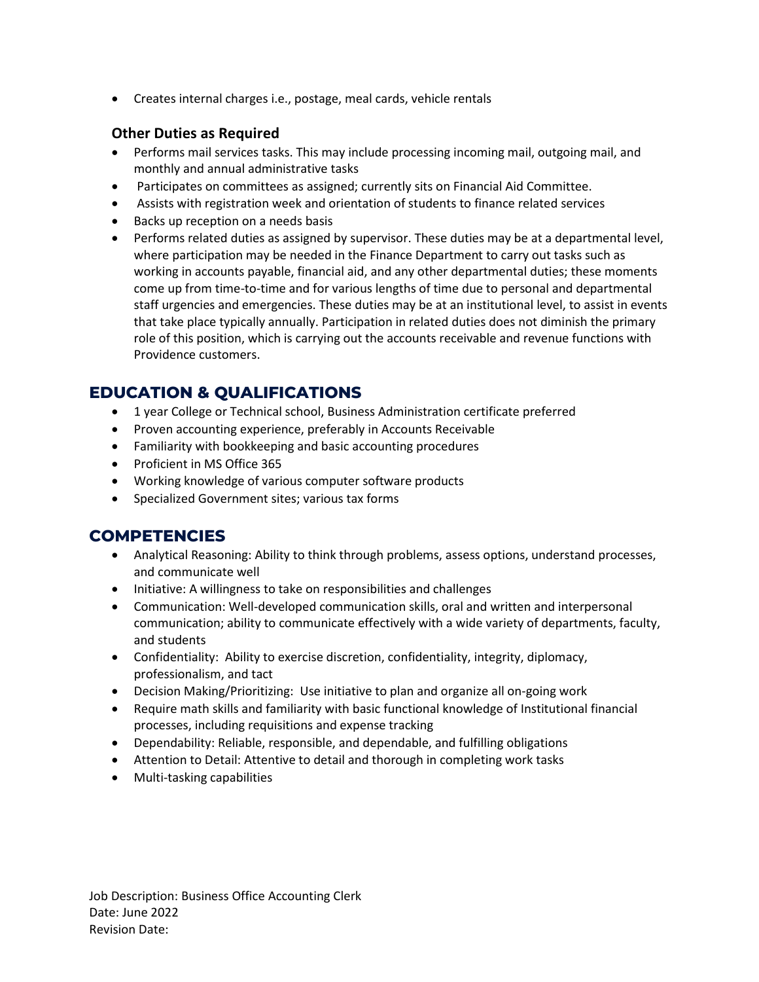• Creates internal charges i.e., postage, meal cards, vehicle rentals

## **Other Duties as Required**

- Performs mail services tasks. This may include processing incoming mail, outgoing mail, and monthly and annual administrative tasks
- Participates on committees as assigned; currently sits on Financial Aid Committee.
- Assists with registration week and orientation of students to finance related services
- Backs up reception on a needs basis
- Performs related duties as assigned by supervisor. These duties may be at a departmental level, where participation may be needed in the Finance Department to carry out tasks such as working in accounts payable, financial aid, and any other departmental duties; these moments come up from time-to-time and for various lengths of time due to personal and departmental staff urgencies and emergencies. These duties may be at an institutional level, to assist in events that take place typically annually. Participation in related duties does not diminish the primary role of this position, which is carrying out the accounts receivable and revenue functions with Providence customers.

# **EDUCATION & QUALIFICATIONS**

- 1 year College or Technical school, Business Administration certificate preferred
- Proven accounting experience, preferably in Accounts Receivable
- Familiarity with [bookkeeping](https://resources.workable.com/bookkeeper-job-description) and basic accounting procedures
- Proficient in MS Office 365
- Working knowledge of various computer software products
- Specialized Government sites; various tax forms

# **COMPETENCIES**

- Analytical Reasoning: Ability to think through problems, assess options, understand processes, and communicate well
- Initiative: A willingness to take on responsibilities and challenges
- Communication: Well-developed communication skills, oral and written and interpersonal communication; ability to communicate effectively with a wide variety of departments, faculty, and students
- Confidentiality: Ability to exercise discretion, confidentiality, integrity, diplomacy, professionalism, and tact
- Decision Making/Prioritizing: Use initiative to plan and organize all on-going work
- Require math skills and familiarity with basic functional knowledge of Institutional financial processes, including requisitions and expense tracking
- Dependability: Reliable, responsible, and dependable, and fulfilling obligations
- Attention to Detail: Attentive to detail and thorough in completing work tasks
- Multi-tasking capabilities